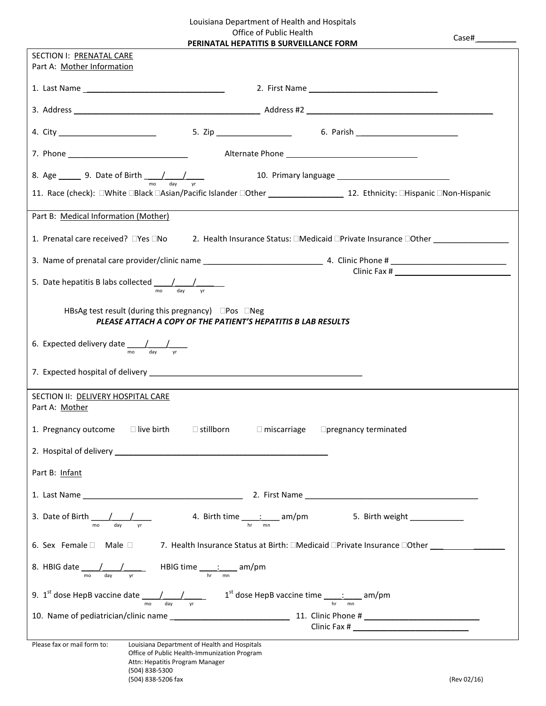Louisiana Department of Health and Hospitals Office of Public Health<br>DERINATAL HEDATITIS B SURVEILLA **PATITIC B SURVEILLANCE FORM** 

| PERINATAL HEPATITIS B SURVEILLANCE FORM                                                                                                                                       |
|-------------------------------------------------------------------------------------------------------------------------------------------------------------------------------|
| SECTION I: PRENATAL CARE<br>Part A: Mother Information                                                                                                                        |
|                                                                                                                                                                               |
|                                                                                                                                                                               |
|                                                                                                                                                                               |
|                                                                                                                                                                               |
| 8. Age 9. Date of Birth $\frac{1}{2}$ 10. Primary language                                                                                                                    |
| 11. Race (check): □White □Black □Asian/Pacific Islander □Other 1000 12. Ethnicity: □Hispanic □Non-Hispanic                                                                    |
| Part B: Medical Information (Mother)                                                                                                                                          |
|                                                                                                                                                                               |
|                                                                                                                                                                               |
| day                                                                                                                                                                           |
| mo                                                                                                                                                                            |
| HBsAg test result (during this pregnancy) $\Box$ Pos $\Box$ Neg<br>PLEASE ATTACH A COPY OF THE PATIENT'S HEPATITIS B LAB RESULTS                                              |
| 6. Expected delivery date $\frac{1}{\text{mo}} \frac{1}{\text{day}} \frac{1}{\text{yr}}$                                                                                      |
|                                                                                                                                                                               |
|                                                                                                                                                                               |
| SECTION II: DELIVERY HOSPITAL CARE<br>Part A: Mother                                                                                                                          |
| 1. Pregnancy outcome <b>D</b> live birth<br>$\square$ stillborn<br>$\Box$ miscarriage<br>$\Box$ pregnancy terminated                                                          |
|                                                                                                                                                                               |
| Part B: Infant                                                                                                                                                                |
|                                                                                                                                                                               |
|                                                                                                                                                                               |
| 6. Sex Female □ Male □ 7. Health Insurance Status at Birth: □Medicaid □Private Insurance □Other _______________                                                               |
|                                                                                                                                                                               |
| 9. 1 <sup>st</sup> dose HepB vaccine date $\frac{1}{\sqrt{1-\frac{1}{n}}}\sqrt{1-\frac{1}{n}}$ 1 <sup>st</sup> dose HepB vaccine time $\frac{1}{\sqrt{1-\frac{1}{n}}}\$ am/pm |
|                                                                                                                                                                               |
| Please fax or mail form to:<br>Louisiana Department of Health and Hospitals                                                                                                   |
| Office of Public Health-Immunization Program<br>Attn: Hepatitis Program Manager                                                                                               |

(504) 838-5300

Case# \_\_\_\_\_\_\_\_